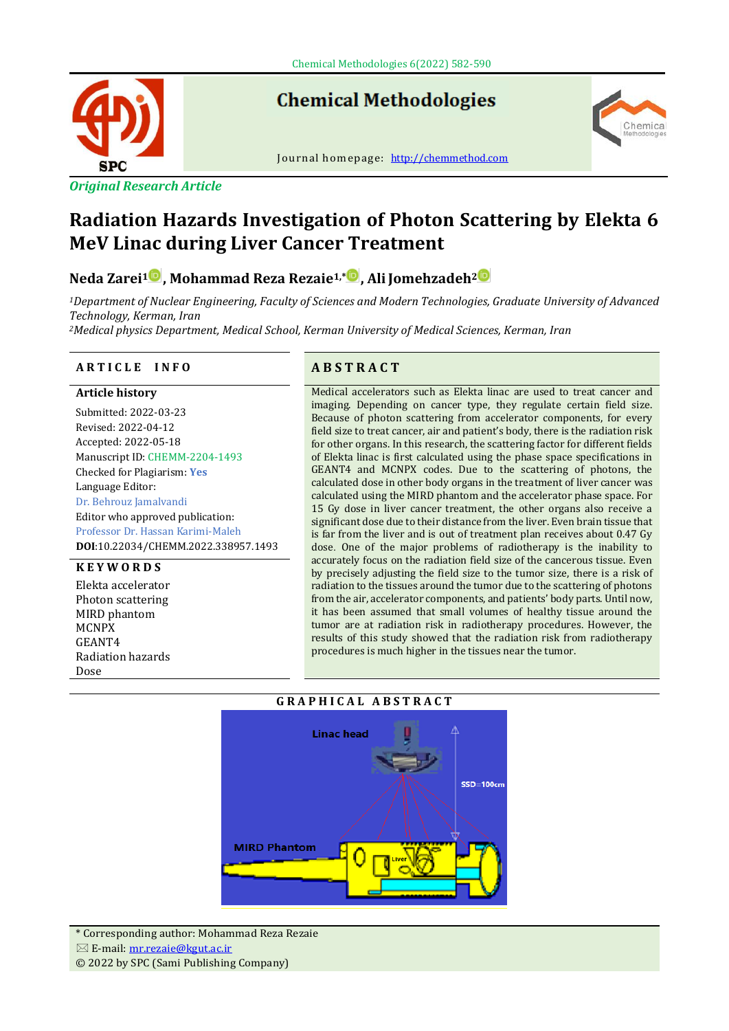

**Chemical Methodologies** 



# **Radiation Hazards Investigation of Photon Scattering by Elekta 6 MeV Linac during Liver Cancer Treatment**

# **Neda Zarei[1](https://www.orcid.org/0000-0003-2090-5926) , Mohammad Reza Rezaie1,\* , AliJomehzadeh[2](https://www.orcid.org/0000-0002-6729-2891)**

*<sup>1</sup>Department of Nuclear Engineering, Faculty of Sciences and Modern Technologies, Graduate University of Advanced Technology, Kerman, Iran*

*<sup>2</sup>Medical physics Department, Medical School, Kerman University of Medical Sciences, Kerman, Iran*

# **A R T I C L E I N F O A B S T R A C T**

# **Article history**

Submitted: 2022-03-23 Revised: 2022-04-12 Accepted: 2022-05-18 Manuscript ID: CHEMM-2204-1493 Checked for Plagiarism: **Yes** Language Editor: Dr. Behrouz Jamalvandi Editor who approved publication: Professor Dr. Hassan Karimi-Maleh **DOI**:10.22034/CHEMM.2022.338957.1493

# **K E Y W O R D S**

Elekta accelerator Photon scattering MIRD phantom MCNPX GEANT4 Radiation hazards Dose

Medical accelerators such as Elekta linac are used to treat cancer and imaging. Depending on cancer type, they regulate certain field size. Because of photon scattering from accelerator components, for every field size to treat cancer, air and patient's body, there is the radiation risk for other organs. In this research, the scattering factor for different fields of Elekta linac is first calculated using the phase space specifications in GEANT4 and MCNPX codes. Due to the scattering of photons, the calculated dose in other body organs in the treatment of liver cancer was calculated using the MIRD phantom and the accelerator phase space. For 15 Gy dose in liver cancer treatment, the other organs also receive a significant dose due to their distance from the liver. Even brain tissue that is far from the liver and is out of treatment plan receives about 0.47 Gy dose. One of the major problems of radiotherapy is the inability to accurately focus on the radiation field size of the cancerous tissue. Even by precisely adjusting the field size to the tumor size, there is a risk of radiation to the tissues around the tumor due to the scattering of photons from the air, accelerator components, and patients' body parts. Until now, it has been assumed that small volumes of healthy tissue around the tumor are at radiation risk in radiotherapy procedures. However, the results of this study showed that the radiation risk from radiotherapy procedures is much higher in the tissues near the tumor.

hemica

# **G R A P H I C A L A B S T R A C T**

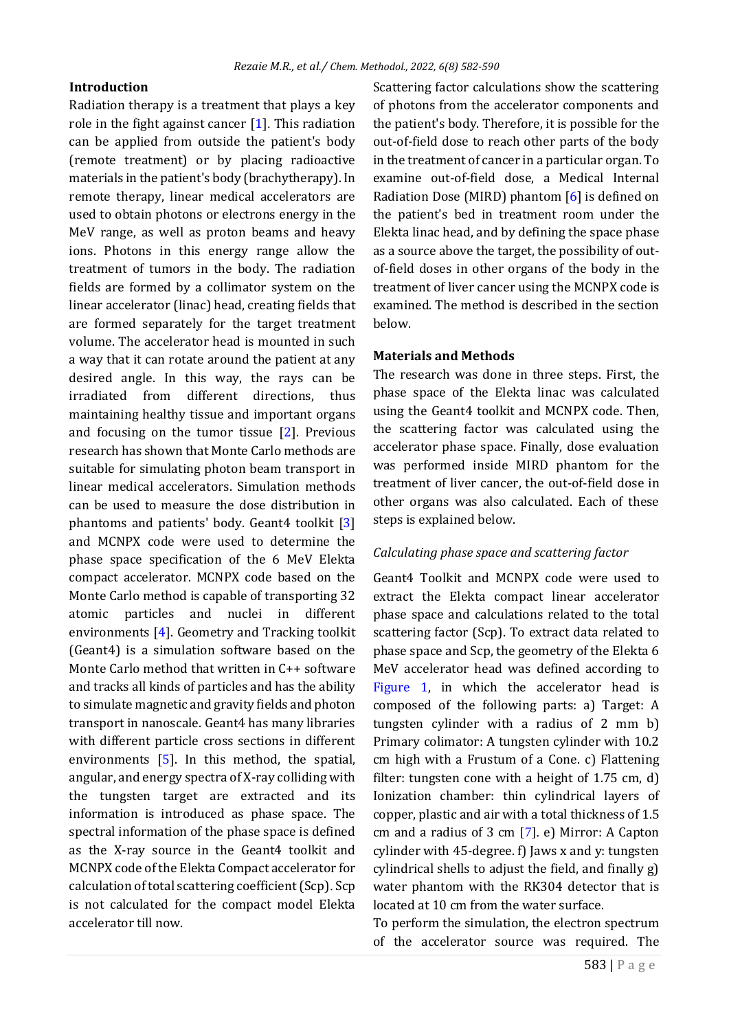# **Introduction**

Radiation therapy is a treatment that plays a key role in the fight against cancer [\[1\]](#page-6-0). This radiation can be applied from outside the patient's body (remote treatment) or by placing radioactive materials in the patient's body (brachytherapy). In remote therapy, linear medical accelerators are used to obtain photons or electrons energy in the MeV range, as well as proton beams and heavy ions. Photons in this energy range allow the treatment of tumors in the body. The radiation fields are formed by a collimator system on the linear accelerator (linac) head, creating fields that are formed separately for the target treatment volume. The accelerator head is mounted in such a way that it can rotate around the patient at any desired angle. In this way, the rays can be irradiated from different directions, thus maintaining healthy tissue and important organs and focusing on the tumor tissue [\[2\]](#page-6-1). Previous research has shown that Monte Carlo methods are suitable for simulating photon beam transport in linear medical accelerators. Simulation methods can be used to measure the dose distribution in phantoms and patients' body. Geant4 toolkit [\[3\]](#page-7-0) and MCNPX code were used to determine the phase space specification of the 6 MeV Elekta compact accelerator. MCNPX code based on the Monte Carlo method is capable of transporting 32 atomic particles and nuclei in different environments [\[4\]](#page-7-1). Geometry and Tracking toolkit (Geant4) is a simulation software based on the Monte Carlo method that written in C++ software and tracks all kinds of particles and has the ability to simulate magnetic and gravity fields and photon transport in nanoscale. Geant4 has many libraries with different particle cross sections in different environments [\[5\]](#page-7-2). In this method, the spatial, angular, and energy spectra of X-ray colliding with the tungsten target are extracted and its information is introduced as phase space. The spectral information of the phase space is defined as the X-ray source in the Geant4 toolkit and MCNPX code of the Elekta Compact accelerator for calculation of total scattering coefficient (Scp). Scp is not calculated for the compact model Elekta accelerator till now.

Scattering factor calculations show the scattering of photons from the accelerator components and the patient's body. Therefore, it is possible for the out-of-field dose to reach other parts of the body in the treatment of cancer in a particular organ. To examine out-of-field dose, a Medical Internal Radiation Dose (MIRD) phantom [\[6\]](#page-7-3) is defined on the patient's bed in treatment room under the Elekta linac head, and by defining the space phase as a source above the target, the possibility of outof-field doses in other organs of the body in the treatment of liver cancer using the MCNPX code is examined. The method is described in the section below.

## **Materials and Methods**

The research was done in three steps. First, the phase space of the Elekta linac was calculated using the Geant4 toolkit and MCNPX code. Then, the scattering factor was calculated using the accelerator phase space. Finally, dose evaluation was performed inside MIRD phantom for the treatment of liver cancer, the out-of-field dose in other organs was also calculated. Each of these steps is explained below.

#### *Calculating phase space and scattering factor*

Geant4 Toolkit and MCNPX code were used to extract the Elekta compact linear accelerator phase space and calculations related to the total scattering factor (Scp). To extract data related to phase space and Scp, the geometry of the Elekta 6 MeV accelerator head was defined according to [Figure 1,](#page-2-0) in which the accelerator head is composed of the following parts: a) Target: A tungsten cylinder with a radius of 2 mm b) Primary colimator: A tungsten cylinder with 10.2 cm high with a Frustum of a Cone. c) Flattening filter: tungsten cone with a height of 1.75 cm, d) Ionization chamber: thin cylindrical layers of copper, plastic and air with a total thickness of 1.5 cm and a radius of 3 cm [\[7\]](#page-7-4). e) Mirror: A Capton cylinder with 45-degree. f) Jaws x and y: tungsten cylindrical shells to adjust the field, and finally g) water phantom with the RK304 detector that is located at 10 cm from the water surface.

To perform the simulation, the electron spectrum of the accelerator source was required. The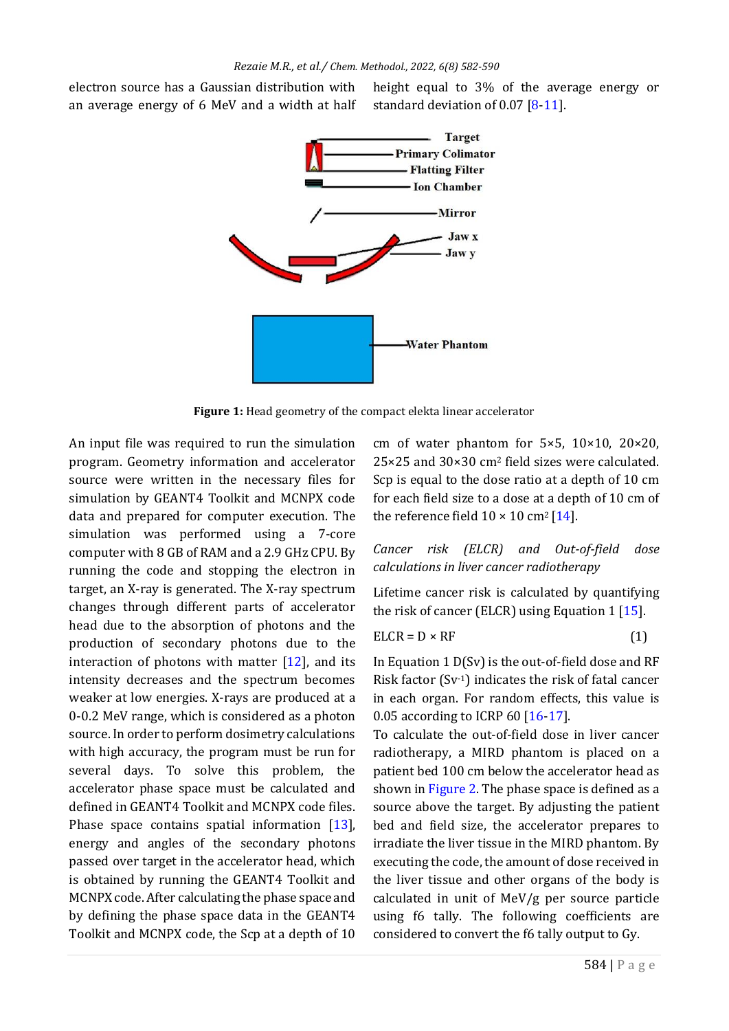electron source has a Gaussian distribution with an average energy of 6 MeV and a width at half height equal to 3% of the average energy or standard deviation of 0.07 [\[8-](#page-7-5)[11\]](#page-7-6).



<span id="page-2-0"></span>**Figure 1:** Head geometry of the compact elekta linear accelerator

An input file was required to run the simulation program. Geometry information and accelerator source were written in the necessary files for simulation by GEANT4 Toolkit and MCNPX code data and prepared for computer execution. The simulation was performed using a 7-core computer with 8 GB of RAM and a 2.9 GHz CPU. By running the code and stopping the electron in target, an X-ray is generated. The X-ray spectrum changes through different parts of accelerator head due to the absorption of photons and the production of secondary photons due to the interaction of photons with matter  $[12]$ , and its intensity decreases and the spectrum becomes weaker at low energies. X-rays are produced at a 0-0.2 MeV range, which is considered as a photon source. In order to perform dosimetry calculations with high accuracy, the program must be run for several days. To solve this problem, the accelerator phase space must be calculated and defined in GEANT4 Toolkit and MCNPX code files. Phase space contains spatial information [\[13\]](#page-7-7), energy and angles of the secondary photons passed over target in the accelerator head, which is obtained by running the GEANT4 Toolkit and MCNPX code. After calculating the phase space and by defining the phase space data in the GEANT4 Toolkit and MCNPX code, the Scp at a depth of 10

cm of water phantom for  $5\times5$ ,  $10\times10$ ,  $20\times20$ , 25×25 and 30×30 cm<sup>2</sup> field sizes were calculated. Scp is equal to the dose ratio at a depth of 10 cm for each field size to a dose at a depth of 10 cm of the reference field  $10 \times 10$  cm<sup>2</sup> [\[14\]](#page-7-8).

*Cancer risk (ELCR) and Out-of-field dose calculations in liver cancer radiotherapy* 

Lifetime cancer risk is calculated by quantifying the risk of cancer (ELCR) using Equation 1  $[15]$ .

$$
ELCR = D \times RF
$$
 (1)

<span id="page-2-1"></span>In Equation 1 D(Sv) is the out-of-field dose and RF Risk factor (Sv-1) indicates the risk of fatal cancer in each organ. For random effects, this value is 0.05 according to ICRP 60 [\[16](#page-7-10)[-17\]](#page-7-11).

To calculate the out-of-field dose in liver cancer radiotherapy, a MIRD phantom is placed on a patient bed 100 cm below the accelerator head as shown in [Figure 2.](#page-3-0) The phase space is defined as a source above the target. By adjusting the patient bed and field size, the accelerator prepares to irradiate the liver tissue in the MIRD phantom. By executing the code, the amount of dose received in the liver tissue and other organs of the body is calculated in unit of MeV/g per source particle using f6 tally. The following coefficients are considered to convert the f6 tally output to Gy.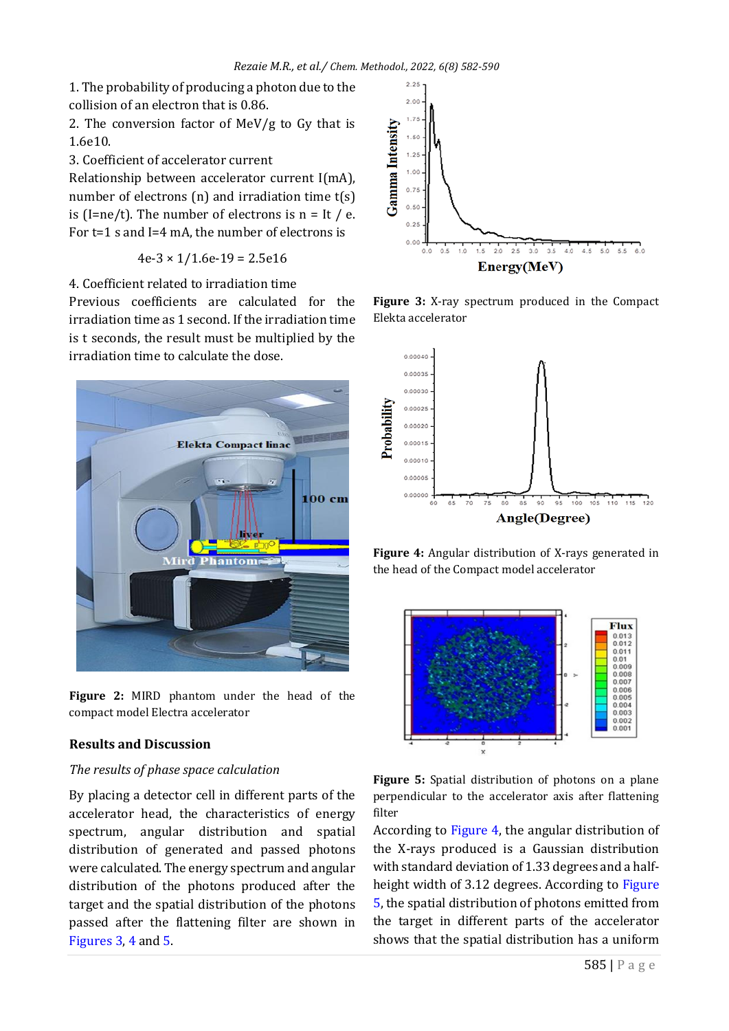1. The probability of producing a photon due to the collision of an electron that is 0.86.

2. The conversion factor of MeV/g to Gy that is 1.6e10.

3. Coefficient of accelerator current

Relationship between accelerator current I(mA), number of electrons (n) and irradiation time t(s) is (I=ne/t). The number of electrons is  $n = It / e$ . For t=1 s and I=4 mA, the number of electrons is

 $4e-3 \times 1/1.6e-19 = 2.5e16$ 

4. Coefficient related to irradiation time

Previous coefficients are calculated for the irradiation time as 1 second. If the irradiation time is t seconds, the result must be multiplied by the irradiation time to calculate the dose.



<span id="page-3-0"></span>

# **Results and Discussion**

## *The results of phase space calculation*

By placing a detector cell in different parts of the accelerator head, the characteristics of energy spectrum, angular distribution and spatial distribution of generated and passed photons were calculated. The energy spectrum and angular distribution of the photons produced after the target and the spatial distribution of the photons passed after the flattening filter are shown in [Figures 3,](#page-3-1) [4](#page-3-2) an[d 5.](#page-3-3)



<span id="page-3-1"></span>**Figure 3:** X-ray spectrum produced in the Compact Elekta accelerator



<span id="page-3-2"></span>**Figure 4:** Angular distribution of X-rays generated in the head of the Compact model accelerator



<span id="page-3-3"></span>

According to [Figure 4,](#page-3-2) the angular distribution of the X-rays produced is a Gaussian distribution with standard deviation of 1.33 degrees and a halfheight width of 3.12 degrees. According to [Figure](#page-3-3)  [5,](#page-3-3) the spatial distribution of photons emitted from the target in different parts of the accelerator shows that the spatial distribution has a uniform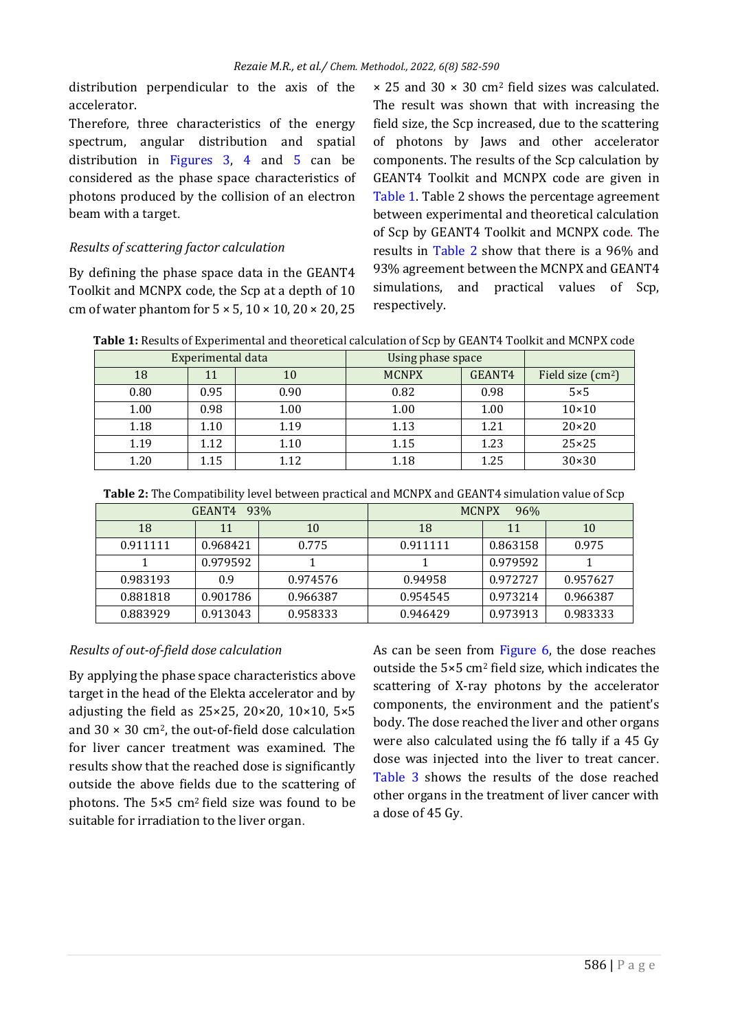distribution perpendicular to the axis of the accelerator.

Therefore, three characteristics of the energy spectrum, angular distribution and spatial distribution in [Figures 3,](#page-3-1) [4](#page-3-2) and [5](#page-3-3) can be considered as the phase space characteristics of photons produced by the collision of an electron beam with a target.

# *Results of scattering factor calculation*

By defining the phase space data in the GEANT4 Toolkit and MCNPX code, the Scp at a depth of 10 cm of water phantom for  $5 \times 5$ ,  $10 \times 10$ ,  $20 \times 20$ ,  $25$ 

 $\times$  25 and 30  $\times$  30 cm<sup>2</sup> field sizes was calculated. The result was shown that with increasing the field size, the Scp increased, due to the scattering of photons by Jaws and other accelerator components. The results of the Scp calculation by GEANT4 Toolkit and MCNPX code are given in [Table 1.](#page-4-0) Table 2 shows the percentage agreement between experimental and theoretical calculation of Scp by GEANT4 Toolkit and MCNPX code. The results in [Table 2](#page-4-1) show that there is a 96% and 93% agreement between the MCNPX and GEANT4 simulations, and practical values of Scp, respectively.

<span id="page-4-0"></span>**Table 1:** Results of Experimental and theoretical calculation of Scp by GEANT4 Toolkit and MCNPX code

| Experimental data |      |      | Using phase space |        |                    |
|-------------------|------|------|-------------------|--------|--------------------|
| 18                | 11   | 10   | <b>MCNPX</b>      | GEANT4 | Field size $(cm2)$ |
| 0.80              | 0.95 | 0.90 | 0.82              | 0.98   | $5\times 5$        |
| 1.00              | 0.98 | 1.00 | 1.00              | 1.00   | $10\times10$       |
| 1.18              | 1.10 | 1.19 | 1.13              | 1.21   | $20 \times 20$     |
| 1.19              | 1.12 | 1.10 | 1.15              | 1.23   | $25 \times 25$     |
| 1.20              | 1.15 | 1.12 | 1.18              | 1.25   | $30 \times 30$     |

<span id="page-4-1"></span>**Table 2:** The Compatibility level between practical and MCNPX and GEANT4 simulation value of Scp

| GEANT4<br>93% |          |          | <b>MCNPX</b><br>96% |          |          |
|---------------|----------|----------|---------------------|----------|----------|
| 18            | 11       | 10       | 18                  | 11       | 10       |
| 0.911111      | 0.968421 | 0.775    | 0.911111            | 0.863158 | 0.975    |
|               | 0.979592 |          |                     | 0.979592 |          |
| 0.983193      | 0.9      | 0.974576 | 0.94958             | 0.972727 | 0.957627 |
| 0.881818      | 0.901786 | 0.966387 | 0.954545            | 0.973214 | 0.966387 |
| 0.883929      | 0.913043 | 0.958333 | 0.946429            | 0.973913 | 0.983333 |

# *Results of out-of-field dose calculation*

By applying the phase space characteristics above target in the head of the Elekta accelerator and by adjusting the field as  $25 \times 25$ ,  $20 \times 20$ ,  $10 \times 10$ ,  $5 \times 5$ and  $30 \times 30$  cm<sup>2</sup>, the out-of-field dose calculation for liver cancer treatment was examined. The results show that the reached dose is significantly outside the above fields due to the scattering of photons. The 5×5 cm2 field size was found to be suitable for irradiation to the liver organ.

As can be seen from [Figure 6,](#page-5-0) the dose reaches outside the 5×5 cm<sup>2</sup> field size, which indicates the scattering of X-ray photons by the accelerator components, the environment and the patient's body. The dose reached the liver and other organs were also calculated using the f6 tally if a 45 Gy dose was injected into the liver to treat cancer. [Table 3](#page-5-1) shows the results of the dose reached other organs in the treatment of liver cancer with a dose of 45 Gy.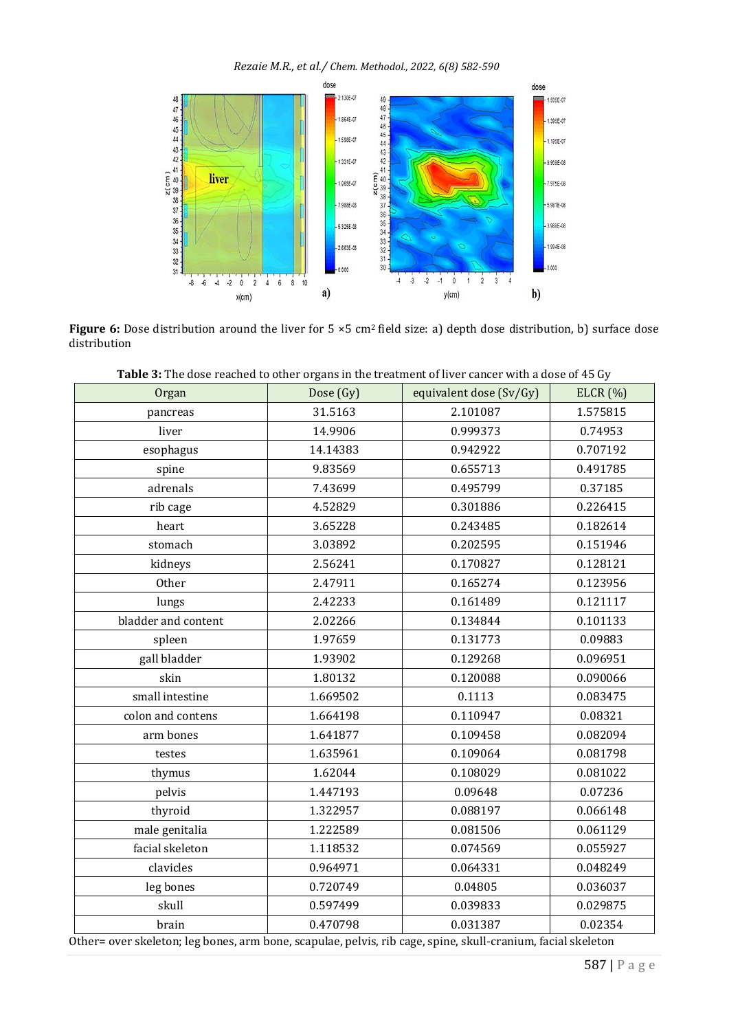*Rezaie M.R., et al./ Chem. Methodol., 2022, 6(8) 582-590*



<span id="page-5-0"></span>**Figure 6:** Dose distribution around the liver for 5 ×5 cm<sup>2</sup> field size: a) depth dose distribution, b) surface dose distribution

| <b>Table 5:</b> The dose reached to other organs in the treatment of liver cancer with a dose or 45 Gy |           |                         |          |
|--------------------------------------------------------------------------------------------------------|-----------|-------------------------|----------|
| Organ                                                                                                  | Dose (Gy) | equivalent dose (Sv/Gy) | ELCR(%)  |
| pancreas                                                                                               | 31.5163   | 2.101087                | 1.575815 |
| liver                                                                                                  | 14.9906   | 0.999373                | 0.74953  |
| esophagus                                                                                              | 14.14383  | 0.942922                | 0.707192 |
| spine                                                                                                  | 9.83569   | 0.655713                | 0.491785 |
| adrenals                                                                                               | 7.43699   | 0.495799                | 0.37185  |
| rib cage                                                                                               | 4.52829   | 0.301886                | 0.226415 |
| heart                                                                                                  | 3.65228   | 0.243485                | 0.182614 |
| stomach                                                                                                | 3.03892   | 0.202595                | 0.151946 |
| kidneys                                                                                                | 2.56241   | 0.170827                | 0.128121 |
| Other                                                                                                  | 2.47911   | 0.165274                | 0.123956 |
| lungs                                                                                                  | 2.42233   | 0.161489                | 0.121117 |
| bladder and content                                                                                    | 2.02266   | 0.134844                | 0.101133 |
| spleen                                                                                                 | 1.97659   | 0.131773                | 0.09883  |
| gall bladder                                                                                           | 1.93902   | 0.129268                | 0.096951 |
| skin                                                                                                   | 1.80132   | 0.120088                | 0.090066 |
| small intestine                                                                                        | 1.669502  | 0.1113                  | 0.083475 |
| colon and contens                                                                                      | 1.664198  | 0.110947                | 0.08321  |
| arm bones                                                                                              | 1.641877  | 0.109458                | 0.082094 |
| testes                                                                                                 | 1.635961  | 0.109064                | 0.081798 |
| thymus                                                                                                 | 1.62044   | 0.108029                | 0.081022 |
| pelvis                                                                                                 | 1.447193  | 0.09648                 | 0.07236  |
| thyroid                                                                                                | 1.322957  | 0.088197                | 0.066148 |
| male genitalia                                                                                         | 1.222589  | 0.081506                | 0.061129 |
| facial skeleton                                                                                        | 1.118532  | 0.074569                | 0.055927 |
| clavicles                                                                                              | 0.964971  | 0.064331                | 0.048249 |
| leg bones                                                                                              | 0.720749  | 0.04805                 | 0.036037 |
| skull                                                                                                  | 0.597499  | 0.039833                | 0.029875 |
| brain                                                                                                  | 0.470798  | 0.031387                | 0.02354  |
|                                                                                                        |           |                         |          |

<span id="page-5-1"></span>

| Table 3: The dose reached to other organs in the treatment of liver cancer with a dose of 45 Gy |  |  |
|-------------------------------------------------------------------------------------------------|--|--|
|-------------------------------------------------------------------------------------------------|--|--|

Other= over skeleton; leg bones, arm bone, scapulae, pelvis, rib cage, spine, skull-cranium, facial skeleton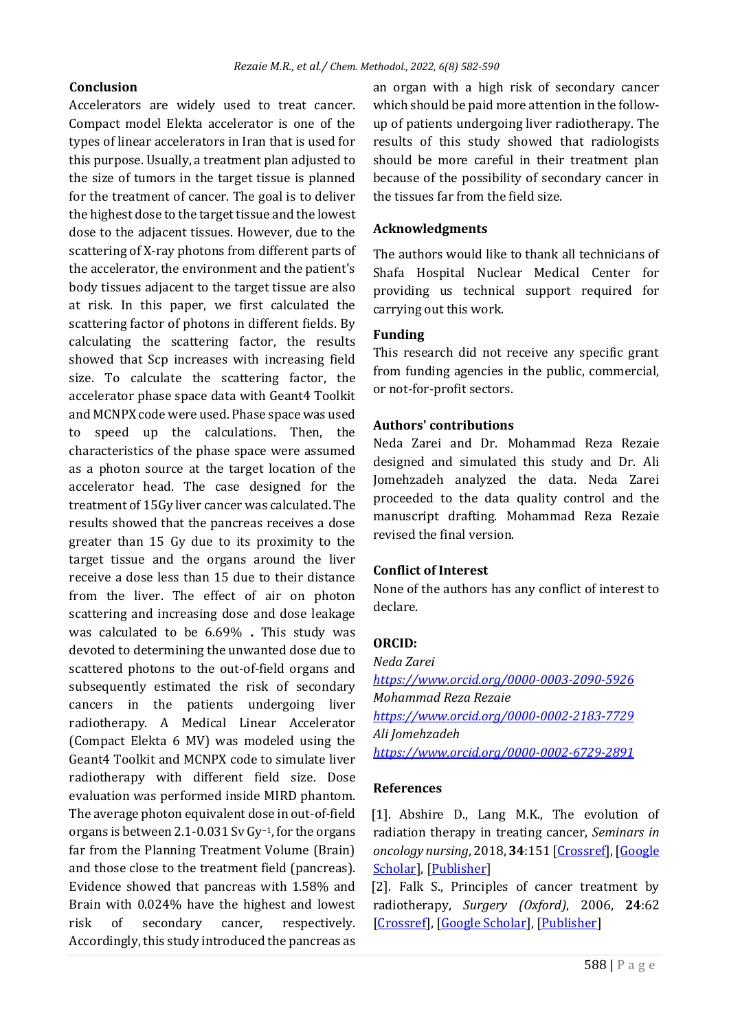# **Conclusion**

Accelerators are widely used to treat cancer. Compact model Elekta accelerator is one of the types of linear accelerators in Iran that is used for this purpose. Usually, a treatment plan adjusted to the size of tumors in the target tissue is planned for the treatment of cancer. The goal is to deliver the highest dose to the target tissue and the lowest dose to the adjacent tissues. However, due to the scattering of X-ray photons from different parts of the accelerator, the environment and the patient's body tissues adjacent to the target tissue are also at risk. In this paper, we first calculated the scattering factor of photons in different fields. By calculating the scattering factor, the results showed that Scp increases with increasing field size. To calculate the scattering factor, the accelerator phase space data with Geant4 Toolkit and MCNPX code were used. Phase space was used to speed up the calculations. Then, the characteristics of the phase space were assumed as a photon source at the target location of the accelerator head. The case designed for the treatment of 15Gy liver cancer was calculated. The results showed that the pancreas receives a dose greater than 15 Gy due to its proximity to the target tissue and the organs around the liver receive a dose less than 15 due to their distance from the liver. The effect of air on photon scattering and increasing dose and dose leakage was calculated to be 6.69% **.** This study was devoted to determining the unwanted dose due to scattered photons to the out-of-field organs and subsequently estimated the risk of secondary cancers in the patients undergoing liver radiotherapy. A Medical Linear Accelerator (Compact Elekta 6 MV) was modeled using the Geant4 Toolkit and MCNPX code to simulate liver radiotherapy with different field size. Dose evaluation was performed inside MIRD phantom. The average photon equivalent dose in out-of-field organs is between 2.1-0.031 Sv Gy−1, for the organs far from the Planning Treatment Volume (Brain) and those close to the treatment field (pancreas). Evidence showed that pancreas with 1.58% and Brain with 0.024% have the highest and lowest risk of secondary cancer, respectively. Accordingly, this study introduced the pancreas as

an organ with a high risk of secondary cancer which should be paid more attention in the followup of patients undergoing liver radiotherapy. The results of this study showed that radiologists should be more careful in their treatment plan because of the possibility of secondary cancer in the tissues far from the field size.

# **Acknowledgments**

The authors would like to thank all technicians of Shafa Hospital Nuclear Medical Center for providing us technical support required for carrying out this work.

# **Funding**

This research did not receive any specific grant from funding agencies in the public, commercial, or not-for-profit sectors.

#### **Authors' contributions**

Neda Zarei and Dr. Mohammad Reza Rezaie designed and simulated this study and Dr. Ali Jomehzadeh analyzed the data. Neda Zarei proceeded to the data quality control and the manuscript drafting. Mohammad Reza Rezaie revised the final version.

# **Conflict of Interest**

None of the authors has any conflict of interest to declare.

#### **ORCID:**

*Neda Zarei <https://www.orcid.org/0000-0003-2090-5926> Mohammad Reza Rezaie <https://www.orcid.org/0000-0002-2183-7729> Ali Jomehzadeh <https://www.orcid.org/0000-0002-6729-2891>*

#### **References**

<span id="page-6-0"></span>[1]. Abshire D., Lang M.K., The evolution of radiation therapy in treating cancer, *Seminars in oncology nursing*, 2018, **34**:151 [\[Crossref\]](https://doi.org/10.1016/j.soncn.2018.03.006), [\[Google](https://scholar.google.com/scholar?hl=en&as_sdt=0%2C5&as_vis=1&q=The+Evolution+of+Radiation+Therapy+in+Treating+Cancer&btnG=)  [Scholar\]](https://scholar.google.com/scholar?hl=en&as_sdt=0%2C5&as_vis=1&q=The+Evolution+of+Radiation+Therapy+in+Treating+Cancer&btnG=), [\[Publisher\]](https://www.sciencedirect.com/science/article/abs/pii/S0749208118300196?via%3Dihub)

<span id="page-6-1"></span>[2]. Falk S., Principles of cancer treatment by radiotherapy, *Surgery (Oxford)*, 2006, **24**:62 [\[Crossref\]](https://doi.org/10.1383/surg.2006.24.2.62), [\[Google Scholar\]](https://scholar.google.com/scholar?hl=en&as_sdt=0%2C5&as_vis=1&q=Principles+of+cancer+treatment+by+radiotherapy&btnG=), [\[Publisher\]](https://www.surgeryjournal.co.uk/article/S0263-9319(06)70181-8/pdf)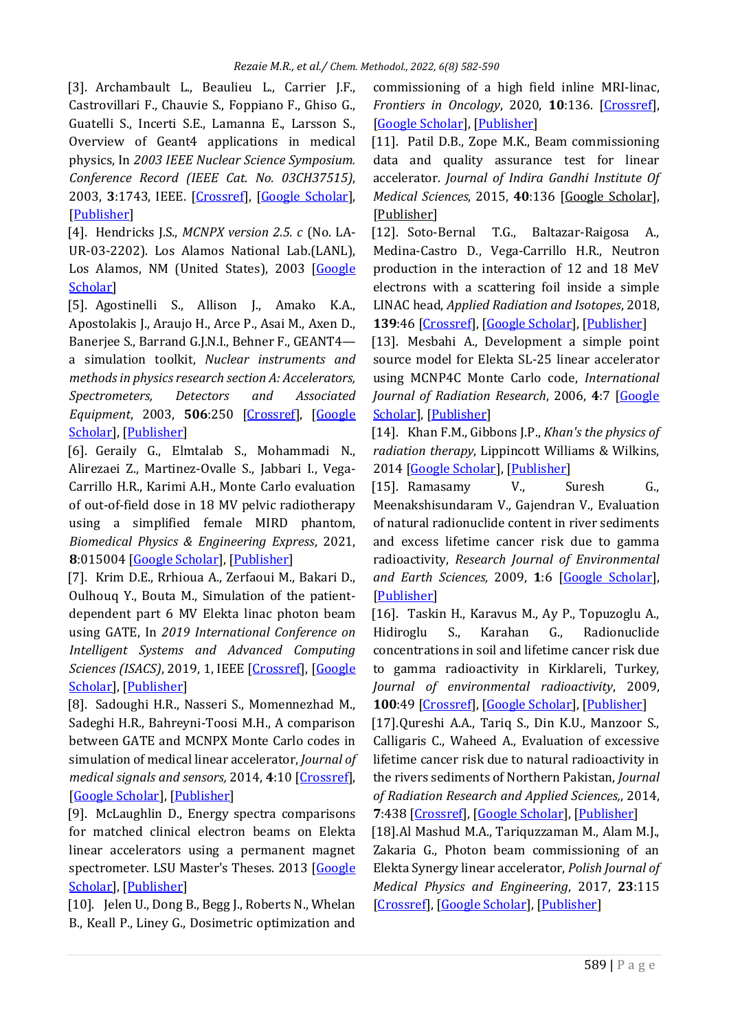<span id="page-7-0"></span>[3]. Archambault L., Beaulieu L., Carrier J.F., Castrovillari F., Chauvie S., Foppiano F., Ghiso G., Guatelli S., Incerti S.E., Lamanna E., Larsson S., Overview of Geant4 applications in medical physics, In *2003 IEEE Nuclear Science Symposium. Conference Record (IEEE Cat. No. 03CH37515)*, 2003, **3**:1743, IEEE. [\[Crossref\]](https://doi.org/10.1109/NSSMIC.2003.1352215), [\[Google Scholar\]](https://scholar.google.com/scholar?hl=en&as_sdt=0%2C5&as_vis=1&q=Overview+of+Geant4+applications+in+medical+physics&btnG=), [\[Publisher\]](https://ieeexplore.ieee.org/abstract/document/1352215)

<span id="page-7-1"></span>[4]. Hendricks J.S., *MCNPX version 2.5. c* (No. LA-UR-03-2202). Los Alamos National Lab.(LANL), Los Alamos, NM (United States), 2003 [Google [Scholar\]](https://scholar.google.com/scholar?hl=en&as_sdt=0%2C5&q=Hendricks+J.S.%2C++2003.+&btnG=#d=gs_cit&t=1652822644234&u=%2Fscholar%3Fq%3Dinfo%3AoxdhWbFlxeoJ%3Ascholar.google.com%2F%26output%3Dcite%26scirp%3D1%26hl%3Den)

<span id="page-7-2"></span>[5]. Agostinelli S., Allison J., Amako K.A., Apostolakis J., Araujo H., Arce P., Asai M., Axen D., Banerjee S., Barrand G.J.N.I., Behner F., GEANT4 a simulation toolkit, *Nuclear instruments and methods in physics research section A: Accelerators, Spectrometers, Detectors and Associated Equipment*, 2003, **506**:250 [\[Crossref\]](https://doi.org/10.1016/S0168-9002(03)01368-8), [\[Google](https://scholar.google.com/scholar?hl=en&as_sdt=0%2C5&as_vis=1&q=Geant4%E2%80%94a+simulation+toolkit&btnG=)  [Scholar\]](https://scholar.google.com/scholar?hl=en&as_sdt=0%2C5&as_vis=1&q=Geant4%E2%80%94a+simulation+toolkit&btnG=), [\[Publisher\]](https://www.sciencedirect.com/science/article/abs/pii/S0168900203013688?via%3Dihub)

<span id="page-7-3"></span>[6]. Geraily G., Elmtalab S., Mohammadi N., Alirezaei Z., Martinez-Ovalle S., Jabbari I., Vega-Carrillo H.R., Karimi A.H., Monte Carlo evaluation of out-of-field dose in 18 MV pelvic radiotherapy using a simplified female MIRD phantom, *Biomedical Physics & Engineering Express*, 2021, **8**:015004 [\[Google Scholar\]](https://scholar.google.com/scholar?hl=en&as_sdt=0%2C5&as_vis=1&q=Monte+Carlo+evaluation+of+out-of-field+dose+in+18+MV+pelvic+radiotherapy+using+a+simplified+female+MIRD+phantom&btnG=), [\[Publisher\]](https://iopscience.iop.org/article/10.1088/2057-1976/ac35a1/meta)

<span id="page-7-4"></span>[7]. Krim D.E., Rrhioua A., Zerfaoui M., Bakari D., Oulhouq Y., Bouta M., Simulation of the patientdependent part 6 MV Elekta linac photon beam using GATE, In *2019 International Conference on Intelligent Systems and Advanced Computing Sciences (ISACS), 2019, 1, IEEE [\[Crossref\]](https://doi.org/10.1109/ISACS48493.2019.9068922), [Google]* [Scholar\]](https://scholar.google.com/scholar?hl=en&as_sdt=0%2C5&as_vis=1&q=Simulation+of+the+patient-dependent+part+6+MV+Elekta+linac+photon+beam+using+GATE&btnG=), [\[Publisher\]](https://ieeexplore.ieee.org/document/9068922)

<span id="page-7-5"></span>[8]. Sadoughi H.R., Nasseri S., Momennezhad M., Sadeghi H.R., Bahreyni-Toosi M.H., A comparison between GATE and MCNPX Monte Carlo codes in simulation of medical linear accelerator, *Journal of medical signals and sensors,* 2014, **4**:10 [\[Crossref\]](https://doi.org/10.4103/2228-7477.128433), [\[Google Scholar\]](https://scholar.google.com/scholar?hl=de&as_sdt=0%2C5&q=A+Comparison+between+GATE+and+MCNPX+monte+carlo+codes+in+simulation+of+medical+linear+accelerator&btnG=), [\[Publisher\]](https://www.jmssjournal.net/article.asp?issn=2228-7477;year=2014;volume=4;issue=1;spage=10;epage=17;aulast=Sadoughi)

[9]. McLaughlin D., Energy spectra comparisons for matched clinical electron beams on Elekta linear accelerators using a permanent magnet spectrometer. LSU Master's Theses. 2013 [\[Google](https://scholar.google.com/scholar?hl=en&as_sdt=0%2C5&q=McLaughlin%2C+D.%2C+2013.+Energy+spectra+comparisons+for+matched+clinical+electron+beams+on+Elekta+linear+accelerators+using+a+permanent+magnet+spectrometer.&btnG=)  [Scholar\]](https://scholar.google.com/scholar?hl=en&as_sdt=0%2C5&q=McLaughlin%2C+D.%2C+2013.+Energy+spectra+comparisons+for+matched+clinical+electron+beams+on+Elekta+linear+accelerators+using+a+permanent+magnet+spectrometer.&btnG=), [\[Publisher\]](https://digitalcommons.lsu.edu/gradschool_theses/103/)

[10]. Jelen U., Dong B., Begg J., Roberts N., Whelan B., Keall P., Liney G., Dosimetric optimization and commissioning of a high field inline MRI-linac, *Frontiers in Oncology*, 2020, **10**:136. [\[Crossref\]](https://doi.org/10.3389/fonc.2020.00136), [\[Google Scholar\]](https://scholar.google.com/scholar?hl=de&as_sdt=0%2C5&q=Dosimetric+Optimization+and+Commissioning+of+a+High+Field+Inline+MRI-Linac&btnG=), [\[Publisher\]](https://www.frontiersin.org/articles/10.3389/fonc.2020.00136/full)

<span id="page-7-6"></span>[11]. Patil D.B., Zope M.K., Beam commissioning data and quality assurance test for linear accelerator. *Journal of Indira Gandhi Institute Of Medical Sciences*, 2015, **40**:136 [\[Google Scholar\]](https://scholar.google.com/scholar?hl=en&as_sdt=0%2C5&q=Beam+commissioning+data+and+quality+assurance+test+for+linear+accelerator&btnG=), [\[Publisher\]](https://www.jigims.co.in/article.asp?issn=2394-9031;year=2015;volume=1;issue=2;spage=19;epage=22;aulast=Zope)

[12]. Soto-Bernal T.G., Baltazar-Raigosa A., Medina-Castro D., Vega-Carrillo H.R., Neutron production in the interaction of 12 and 18 MeV electrons with a scattering foil inside a simple LINAC head, *Applied Radiation and Isotopes*, 2018, **139**:46 [\[Crossref\]](https://doi.org/10.1016/j.apradiso.2018.04.024), [\[Google Scholar\]](https://scholar.google.com/scholar?hl=de&as_sdt=0%2C5&q=Neutron+production+in+the+interaction+of+12+and+18%E2%80%AFMeV+electrons+with+a+scattering+foil+inside+a+simple+LINAC+head&btnG=), [\[Publisher\]](https://doi.org/10.1016/j.apradiso.2018.04.024)

<span id="page-7-7"></span>[13]. Mesbahi A., Development a simple point source model for Elekta SL-25 linear accelerator using MCNP4C Monte Carlo code, *International Journal of Radiation Research*, 2006, **4**:7 [\[Google](https://scholar.google.com/scholar?hl=de&as_sdt=0%2C5&q=+Development+A+Simple+Point+Source+Model+For+Elekta+Sl-25+Linear+Accelerator+Using+Mcnp4c+Monte+Carlo+Code&btnG=)  [Scholar\]](https://scholar.google.com/scholar?hl=de&as_sdt=0%2C5&q=+Development+A+Simple+Point+Source+Model+For+Elekta+Sl-25+Linear+Accelerator+Using+Mcnp4c+Monte+Carlo+Code&btnG=), [\[Publisher\]](https://www.sid.ir/en/Journal/ViewPaper.aspx?ID=57132)

<span id="page-7-8"></span>[14]. Khan F.M., Gibbons J.P., *Khan's the physics of radiation therapy*, Lippincott Williams & Wilkins, 2014 [\[Google Scholar\]](https://scholar.google.com/scholar?hl=de&as_sdt=0%2C5&q=Khan%27s+the+physics+of+radiation+therapy&btnG=), [\[Publisher\]](https://books.google.com/books?hl=de&lr=&id=cvtPBAAAQBAJ&oi=fnd&pg=PP1&dq=Khan+F.M.,+Gibbons+J.P.,+Lippincott+Williams+%26+Wilkins:+2014&ots=ux_5Ezloc6&sig=C-U4CnFLmfIvXgAhGWu5Ot56ZP4#v=onepage&q=Khan%20F.M.%2C%20Gibbons%20J.P.%2C%20Lippincott%20Williams%20%26%20Wilkins%3A%202014&f=false)

<span id="page-7-9"></span>[15]. Ramasamy V., Suresh G., Meenakshisundaram V., Gajendran V., Evaluation of natural radionuclide content in river sediments and excess lifetime cancer risk due to gamma radioactivity, *Research Journal of Environmental and Earth Sciences,* 2009, **1**:6 [\[Google Scholar\]](https://scholar.google.com/scholar?hl=de&as_sdt=0%2C5&q=Evaluation+of+Natural+Radionuclide+Content+in+River+Sediments+and+Excess+Lifetime+Cancer+Risk+Due+to+Gamma+Radioactivity&btnG=), [\[Publisher\]](https://www.airitilibrary.com/Publication/alDetailedMesh?docid=20410492-200907-201008160042-201008160042-6-10)

<span id="page-7-10"></span>[16]. Taskin H., Karavus M., Ay P., Topuzoglu A., Hidiroglu S., Karahan G., Radionuclide concentrations in soil and lifetime cancer risk due to gamma radioactivity in Kirklareli, Turkey, *Journal of environmental radioactivity*, 2009, **100**:49 [\[Crossref\]](https://doi.org/10.1016/j.jenvrad.2008.10.012), [\[Google Scholar\]](https://scholar.google.com/scholar?hl=de&as_sdt=0%2C5&q=Radionuclide+concentrations+in+soil+and+lifetime+cancer+risk+due+to+gamma+radioactivity+in+Kirklareli%2C+Turkey&btnG=), [\[Publisher\]](https://www.sciencedirect.com/science/article/abs/pii/S0265931X08001781)

<span id="page-7-11"></span>[17].Qureshi A.A., Tariq S., Din K.U., Manzoor S., Calligaris C., Waheed A., Evaluation of excessive lifetime cancer risk due to natural radioactivity in the rivers sediments of Northern Pakistan, *Journal of Radiation Research and Applied Sciences,*, 2014, **7**:438 [\[Crossref\]](https://doi.org/10.1016/j.jrras.2014.07.008), [\[Google Scholar\]](https://scholar.google.com/scholar?hl=de&as_sdt=0%2C5&q=Evaluation+of+excessive+lifetime+cancer+risk+due+to+natural+radioactivity+in+the+rivers+sediments+of+Northern+Pakistan&btnG=), [\[Publisher\]](https://www.sciencedirect.com/science/article/pii/S1687850714000661)

[18].Al Mashud M.A., Tariquzzaman M., Alam M.J., Zakaria G., Photon beam commissioning of an Elekta Synergy linear accelerator, *Polish Journal of Medical Physics and Engineering*, 2017, **23**:115 [\[Crossref\]](https://doi.org/10.1515/pjmpe-2017-0019), [\[Google Scholar\]](https://scholar.google.com/scholar?hl=de&as_sdt=0%2C5&q=Photon+beam+commissioning+of+an+Elekta+Synergy+linear+accelerator&btnG=), [\[Publisher\]](https://www.sciendo.com/article/10.1515/pjmpe-2017-0019)